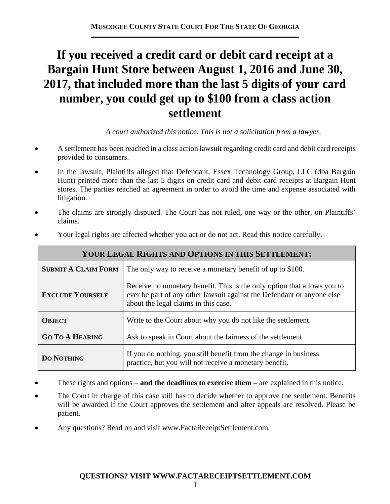# **If you received a credit card or debit card receipt at a Bargain Hunt Store between August 1, 2016 and June 30, 2017, that included more than the last 5 digits of your card number, you could get up to \$100 from a class action settlement**

*A court authorized this notice. This is not a solicitation from a lawyer.* 

- A settlement has been reached in a class action lawsuit regarding credit card and debit card receipts provided to consumers.
- In the lawsuit, Plaintiffs alleged that Defendant, Essex Technology Group, LLC (dba Bargain Hunt) printed more than the last 5 digits on credit card and debit card receipts at Bargain Hunt stores. The parties reached an agreement in order to avoid the time and expense associated with litigation.
- The claims are strongly disputed. The Court has not ruled, one way or the other, on Plaintiffs' claims.

| YOUR LEGAL RIGHTS AND OPTIONS IN THIS SETTLEMENT: |                                                                                                                                                                                           |  |
|---------------------------------------------------|-------------------------------------------------------------------------------------------------------------------------------------------------------------------------------------------|--|
| <b>SUBMIT A CLAIM FORM</b>                        | The only way to receive a monetary benefit of up to \$100.                                                                                                                                |  |
| <b>EXCLUDE YOURSELF</b>                           | Receive no monetary benefit. This is the only option that allows you to<br>ever be part of any other lawsuit against the Defendant or anyone else<br>about the legal claims in this case. |  |
| <b>OBJECT</b>                                     | Write to the Court about why you do not like the settlement.                                                                                                                              |  |
| <b>GO TO A HEARING</b>                            | Ask to speak in Court about the fairness of the settlement.                                                                                                                               |  |
| <b>DO NOTHING</b>                                 | If you do nothing, you still benefit from the change in business<br>practice, but you will not receive a monetary benefit.                                                                |  |

Your legal rights are affected whether you act or do not act. Read this notice carefully.

- These rights and options **and the deadlines to exercise them** are explained in this notice.
- The Court in charge of this case still has to decide whether to approve the settlement. Benefits will be awarded if the Court approves the settlement and after appeals are resolved. Please be patient.
- Any questions? Read on and visit www.FactaReceiptSettlement.com.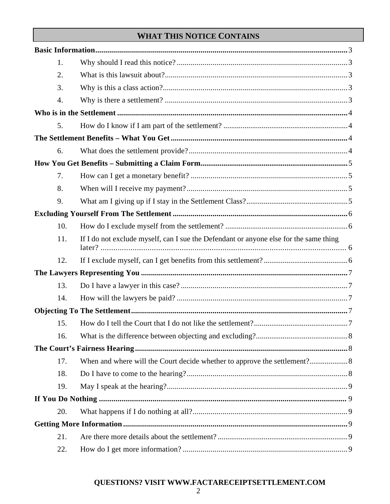# **WHAT THIS NOTICE CONTAINS**

| 1.  |                                                                                       |  |
|-----|---------------------------------------------------------------------------------------|--|
| 2.  |                                                                                       |  |
| 3.  |                                                                                       |  |
| 4.  |                                                                                       |  |
|     |                                                                                       |  |
| 5.  |                                                                                       |  |
|     |                                                                                       |  |
| 6.  |                                                                                       |  |
|     |                                                                                       |  |
| 7.  |                                                                                       |  |
| 8.  |                                                                                       |  |
| 9.  |                                                                                       |  |
|     |                                                                                       |  |
| 10. |                                                                                       |  |
| 11. | If I do not exclude myself, can I sue the Defendant or anyone else for the same thing |  |
| 12. |                                                                                       |  |
|     |                                                                                       |  |
| 13. |                                                                                       |  |
| 14. |                                                                                       |  |
|     |                                                                                       |  |
| 15. |                                                                                       |  |
| 16. |                                                                                       |  |
|     |                                                                                       |  |
| 17. |                                                                                       |  |
| 18. |                                                                                       |  |
| 19. |                                                                                       |  |
|     |                                                                                       |  |
| 20. |                                                                                       |  |
|     |                                                                                       |  |
| 21. |                                                                                       |  |
| 22. |                                                                                       |  |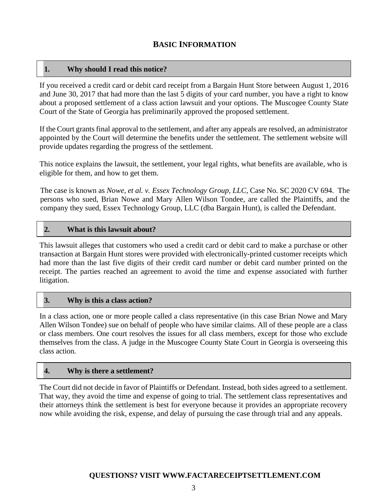## **BASIC INFORMATION**

#### **1. Why should I read this notice?**

If you received a credit card or debit card receipt from a Bargain Hunt Store between August 1, 2016 and June 30, 2017 that had more than the last 5 digits of your card number, you have a right to know about a proposed settlement of a class action lawsuit and your options. The Muscogee County State Court of the State of Georgia has preliminarily approved the proposed settlement.

If the Court grants final approval to the settlement, and after any appeals are resolved, an administrator appointed by the Court will determine the benefits under the settlement. The settlement website will provide updates regarding the progress of the settlement.

This notice explains the lawsuit, the settlement, your legal rights, what benefits are available, who is eligible for them, and how to get them.

The case is known as *Nowe, et al. v. Essex Technology Group, LLC*, Case No. SC 2020 CV 694. The persons who sued, Brian Nowe and Mary Allen Wilson Tondee, are called the Plaintiffs, and the company they sued, Essex Technology Group, LLC (dba Bargain Hunt), is called the Defendant.

#### **2. What is this lawsuit about?**

This lawsuit alleges that customers who used a credit card or debit card to make a purchase or other transaction at Bargain Hunt stores were provided with electronically-printed customer receipts which had more than the last five digits of their credit card number or debit card number printed on the receipt. The parties reached an agreement to avoid the time and expense associated with further litigation.

#### **3. Why is this a class action?**

In a class action, one or more people called a class representative (in this case Brian Nowe and Mary Allen Wilson Tondee) sue on behalf of people who have similar claims. All of these people are a class or class members. One court resolves the issues for all class members, except for those who exclude themselves from the class. A judge in the Muscogee County State Court in Georgia is overseeing this class action.

#### **4. Why is there a settlement?**

The Court did not decide in favor of Plaintiffs or Defendant. Instead, both sides agreed to a settlement. That way, they avoid the time and expense of going to trial. The settlement class representatives and their attorneys think the settlement is best for everyone because it provides an appropriate recovery now while avoiding the risk, expense, and delay of pursuing the case through trial and any appeals.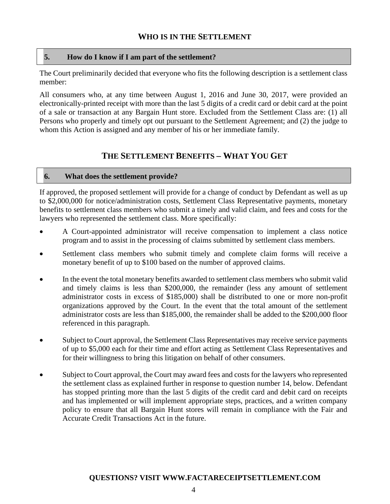### **WHO IS IN THE SETTLEMENT**

#### **5. How do I know if I am part of the settlement?**

The Court preliminarily decided that everyone who fits the following description is a settlement class member:

All consumers who, at any time between August 1, 2016 and June 30, 2017, were provided an electronically-printed receipt with more than the last 5 digits of a credit card or debit card at the point of a sale or transaction at any Bargain Hunt store. Excluded from the Settlement Class are: (1) all Persons who properly and timely opt out pursuant to the Settlement Agreement; and (2) the judge to whom this Action is assigned and any member of his or her immediate family.

## **THE SETTLEMENT BENEFITS – WHAT YOU GET**

#### **6. What does the settlement provide?**

If approved, the proposed settlement will provide for a change of conduct by Defendant as well as up to \$2,000,000 for notice/administration costs, Settlement Class Representative payments, monetary benefits to settlement class members who submit a timely and valid claim, and fees and costs for the lawyers who represented the settlement class. More specifically:

- A Court-appointed administrator will receive compensation to implement a class notice program and to assist in the processing of claims submitted by settlement class members.
- Settlement class members who submit timely and complete claim forms will receive a monetary benefit of up to \$100 based on the number of approved claims.
- In the event the total monetary benefits awarded to settlement class members who submit valid and timely claims is less than \$200,000, the remainder (less any amount of settlement administrator costs in excess of \$185,000) shall be distributed to one or more non-profit organizations approved by the Court. In the event that the total amount of the settlement administrator costs are less than \$185,000, the remainder shall be added to the \$200,000 floor referenced in this paragraph.
- Subject to Court approval, the Settlement Class Representatives may receive service payments of up to \$5,000 each for their time and effort acting as Settlement Class Representatives and for their willingness to bring this litigation on behalf of other consumers.
- Subject to Court approval, the Court may award fees and costs for the lawyers who represented the settlement class as explained further in response to question number 14, below. Defendant has stopped printing more than the last 5 digits of the credit card and debit card on receipts and has implemented or will implement appropriate steps, practices, and a written company policy to ensure that all Bargain Hunt stores will remain in compliance with the Fair and Accurate Credit Transactions Act in the future.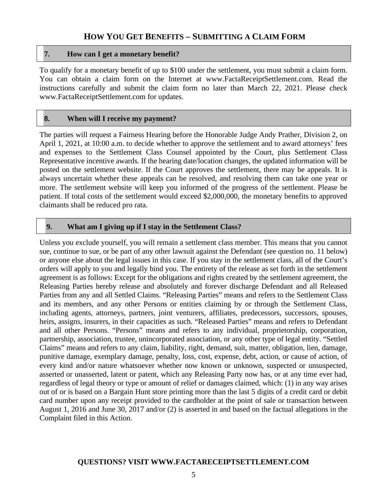## **HOW YOU GET BENEFITS – SUBMITTING A CLAIM FORM**

#### **7. How can I get a monetary benefit?**

To qualify for a monetary benefit of up to \$100 under the settlement, you must submit a claim form. You can obtain a claim form on the Internet at www.FactaReceiptSettlement.com. Read the instructions carefully and submit the claim form no later than March 22, 2021. Please check www.FactaReceiptSettlement.com for updates.

#### **8. When will I receive my payment?**

The parties will request a Fairness Hearing before the Honorable Judge Andy Prather, Division 2, on April 1, 2021, at 10:00 a.m. to decide whether to approve the settlement and to award attorneys' fees and expenses to the Settlement Class Counsel appointed by the Court, plus Settlement Class Representative incentive awards. If the hearing date/location changes, the updated information will be posted on the settlement website. If the Court approves the settlement, there may be appeals. It is always uncertain whether these appeals can be resolved, and resolving them can take one year or more. The settlement website will keep you informed of the progress of the settlement. Please be patient. If total costs of the settlement would exceed \$2,000,000, the monetary benefits to approved claimants shall be reduced pro rata.

#### **9. What am I giving up if I stay in the Settlement Class?**

Unless you exclude yourself, you will remain a settlement class member. This means that you cannot sue, continue to sue, or be part of any other lawsuit against the Defendant (see question no. 11 below) or anyone else about the legal issues in this case. If you stay in the settlement class, all of the Court's orders will apply to you and legally bind you. The entirety of the release as set forth in the settlement agreement is as follows: Except for the obligations and rights created by the settlement agreement, the Releasing Parties hereby release and absolutely and forever discharge Defendant and all Released Parties from any and all Settled Claims. "Releasing Parties" means and refers to the Settlement Class and its members, and any other Persons or entities claiming by or through the Settlement Class, including agents, attorneys, partners, joint venturers, affiliates, predecessors, successors, spouses, heirs, assigns, insurers, in their capacities as such. "Released Parties" means and refers to Defendant and all other Persons. "Persons" means and refers to any individual, proprietorship, corporation, partnership, association, trustee, unincorporated association, or any other type of legal entity. "Settled Claims" means and refers to any claim, liability, right, demand, suit, matter, obligation, lien, damage, punitive damage, exemplary damage, penalty, loss, cost, expense, debt, action, or cause of action, of every kind and/or nature whatsoever whether now known or unknown, suspected or unsuspected, asserted or unasserted, latent or patent, which any Releasing Party now has, or at any time ever had, regardless of legal theory or type or amount of relief or damages claimed, which: (1) in any way arises out of or is based on a Bargain Hunt store printing more than the last 5 digits of a credit card or debit card number upon any receipt provided to the cardholder at the point of sale or transaction between August 1, 2016 and June 30, 2017 and/or (2) is asserted in and based on the factual allegations in the Complaint filed in this Action.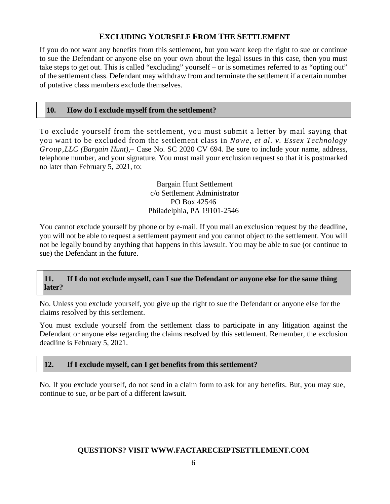## **EXCLUDING YOURSELF FROM THE SETTLEMENT**

If you do not want any benefits from this settlement, but you want keep the right to sue or continue to sue the Defendant or anyone else on your own about the legal issues in this case, then you must take steps to get out. This is called "excluding" yourself – or is sometimes referred to as "opting out" of the settlement class. Defendant may withdraw from and terminate the settlement if a certain number of putative class members exclude themselves.

#### **10. How do I exclude myself from the settlement?**

To exclude yourself from the settlement, you must submit a letter by mail saying that you want to be excluded from the settlement class in *Nowe, et al. v. Essex Technology Group,LLC (Bargain Hunt),–* Case No. SC 2020 CV 694*.* Be sure to include your name, address, telephone number, and your signature. You must mail your exclusion request so that it is postmarked no later than February 5, 2021, to:

> Bargain Hunt Settlement c/o Settlement Administrator PO Box 42546 Philadelphia, PA 19101-2546

You cannot exclude yourself by phone or by e-mail. If you mail an exclusion request by the deadline, you will not be able to request a settlement payment and you cannot object to the settlement. You will not be legally bound by anything that happens in this lawsuit. You may be able to sue (or continue to sue) the Defendant in the future.

#### **11. If I do not exclude myself, can I sue the Defendant or anyone else for the same thing later?**

No. Unless you exclude yourself, you give up the right to sue the Defendant or anyone else for the claims resolved by this settlement.

You must exclude yourself from the settlement class to participate in any litigation against the Defendant or anyone else regarding the claims resolved by this settlement. Remember, the exclusion deadline is February 5, 2021.

#### **12. If I exclude myself, can I get benefits from this settlement?**

No. If you exclude yourself, do not send in a claim form to ask for any benefits. But, you may sue, continue to sue, or be part of a different lawsuit.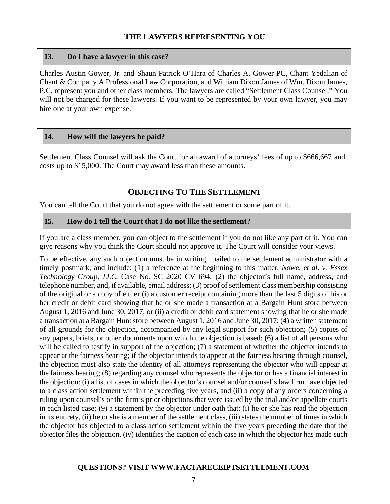## **THE LAWYERS REPRESENTING YOU**

#### **13. Do I have a lawyer in this case?**

Charles Austin Gower, Jr. and Shaun Patrick O'Hara of Charles A. Gower PC, Chant Yedalian of Chant & Company A Professional Law Corporation, and William Dixon James of Wm. Dixon James, P.C. represent you and other class members. The lawyers are called "Settlement Class Counsel." You will not be charged for these lawyers. If you want to be represented by your own lawyer, you may hire one at your own expense.

#### **14. How will the lawyers be paid?**

Settlement Class Counsel will ask the Court for an award of attorneys' fees of up to \$666,667 and costs up to \$15,000. The Court may award less than these amounts.

#### **OBJECTING TO THE SETTLEMENT**

You can tell the Court that you do not agree with the settlement or some part of it.

#### **15. How do I tell the Court that I do not like the settlement?**

If you are a class member, you can object to the settlement if you do not like any part of it. You can give reasons why you think the Court should not approve it. The Court will consider your views.

To be effective, any such objection must be in writing, mailed to the settlement administrator with a timely postmark, and include: (1) a reference at the beginning to this matter, *Nowe, et al. v. Essex Technology Group, LLC*, Case No. SC 2020 CV 694; (2) the objector's full name, address, and telephone number, and, if available, email address; (3) proof of settlement class membership consisting of the original or a copy of either (i) a customer receipt containing more than the last 5 digits of his or her credit or debit card showing that he or she made a transaction at a Bargain Hunt store between August 1, 2016 and June 30, 2017, or (ii) a credit or debit card statement showing that he or she made a transaction at a Bargain Hunt store between August 1, 2016 and June 30, 2017; (4) a written statement of all grounds for the objection, accompanied by any legal support for such objection; (5) copies of any papers, briefs, or other documents upon which the objection is based; (6) a list of all persons who will be called to testify in support of the objection; (7) a statement of whether the objector intends to appear at the fairness hearing; if the objector intends to appear at the fairness hearing through counsel, the objection must also state the identity of all attorneys representing the objector who will appear at the fairness hearing; (8) regarding any counsel who represents the objector or has a financial interest in the objection: (i) a list of cases in which the objector's counsel and/or counsel's law firm have objected to a class action settlement within the preceding five years, and (ii) a copy of any orders concerning a ruling upon counsel's or the firm's prior objections that were issued by the trial and/or appellate courts in each listed case; (9) a statement by the objector under oath that: (i) he or she has read the objection in its entirety, (ii) he or she is a member of the settlement class, (iii) states the number of times in which the objector has objected to a class action settlement within the five years preceding the date that the objector files the objection, (iv) identifies the caption of each case in which the objector has made such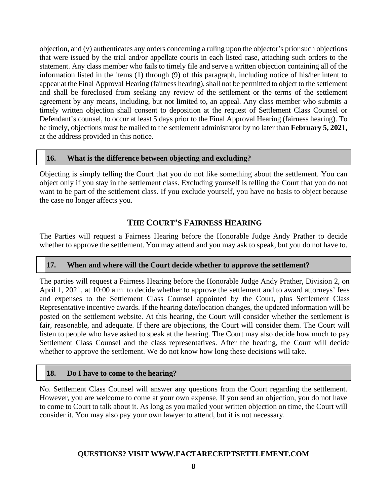objection, and (v) authenticates any orders concerning a ruling upon the objector's prior such objections that were issued by the trial and/or appellate courts in each listed case, attaching such orders to the statement. Any class member who fails to timely file and serve a written objection containing all of the information listed in the items (1) through (9) of this paragraph, including notice of his/her intent to appear at the Final Approval Hearing (fairness hearing), shall not be permitted to object to the settlement and shall be foreclosed from seeking any review of the settlement or the terms of the settlement agreement by any means, including, but not limited to, an appeal. Any class member who submits a timely written objection shall consent to deposition at the request of Settlement Class Counsel or Defendant's counsel, to occur at least 5 days prior to the Final Approval Hearing (fairness hearing). To be timely, objections must be mailed to the settlement administrator by no later than **February 5, 2021,**  at the address provided in this notice.

#### **16. What is the difference between objecting and excluding?**

Objecting is simply telling the Court that you do not like something about the settlement. You can object only if you stay in the settlement class. Excluding yourself is telling the Court that you do not want to be part of the settlement class. If you exclude yourself, you have no basis to object because the case no longer affects you.

## **THE COURT'S FAIRNESS HEARING**

The Parties will request a Fairness Hearing before the Honorable Judge Andy Prather to decide whether to approve the settlement. You may attend and you may ask to speak, but you do not have to.

#### **17. When and where will the Court decide whether to approve the settlement?**

The parties will request a Fairness Hearing before the Honorable Judge Andy Prather, Division 2, on April 1, 2021, at 10:00 a.m. to decide whether to approve the settlement and to award attorneys' fees and expenses to the Settlement Class Counsel appointed by the Court, plus Settlement Class Representative incentive awards. If the hearing date/location changes, the updated information will be posted on the settlement website. At this hearing, the Court will consider whether the settlement is fair, reasonable, and adequate. If there are objections, the Court will consider them. The Court will listen to people who have asked to speak at the hearing. The Court may also decide how much to pay Settlement Class Counsel and the class representatives. After the hearing, the Court will decide whether to approve the settlement. We do not know how long these decisions will take.

#### **18. Do I have to come to the hearing?**

No. Settlement Class Counsel will answer any questions from the Court regarding the settlement. However, you are welcome to come at your own expense. If you send an objection, you do not have to come to Court to talk about it. As long as you mailed your written objection on time, the Court will consider it. You may also pay your own lawyer to attend, but it is not necessary.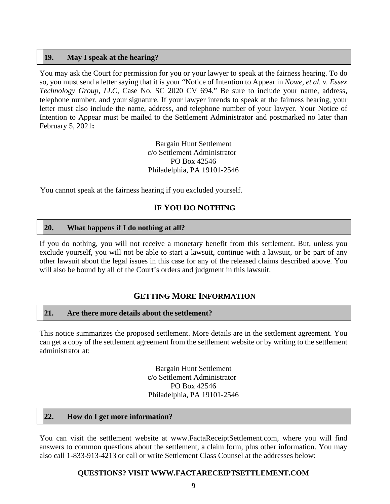#### **19. May I speak at the hearing?**

You may ask the Court for permission for you or your lawyer to speak at the fairness hearing. To do so, you must send a letter saying that it is your "Notice of Intention to Appear in *Nowe, et al. v. Essex Technology Group, LLC*, Case No. SC 2020 CV 694." Be sure to include your name, address, telephone number, and your signature. If your lawyer intends to speak at the fairness hearing, your letter must also include the name, address, and telephone number of your lawyer. Your Notice of Intention to Appear must be mailed to the Settlement Administrator and postmarked no later than February 5, 2021**:** 

> Bargain Hunt Settlement c/o Settlement Administrator PO Box 42546 Philadelphia, PA 19101-2546

You cannot speak at the fairness hearing if you excluded yourself.

## **IF YOU DO NOTHING**

#### **20. What happens if I do nothing at all?**

If you do nothing, you will not receive a monetary benefit from this settlement. But, unless you exclude yourself, you will not be able to start a lawsuit, continue with a lawsuit, or be part of any other lawsuit about the legal issues in this case for any of the released claims described above. You will also be bound by all of the Court's orders and judgment in this lawsuit.

## **GETTING MORE INFORMATION**

#### **21. Are there more details about the settlement?**

This notice summarizes the proposed settlement. More details are in the settlement agreement. You can get a copy of the settlement agreement from the settlement website or by writing to the settlement administrator at:

> Bargain Hunt Settlement c/o Settlement Administrator PO Box 42546 Philadelphia, PA 19101-2546

#### **22. How do I get more information?**

You can visit the settlement website at www.FactaReceiptSettlement.com, where you will find answers to common questions about the settlement, a claim form, plus other information. You may also call 1-833-913-4213 or call or write Settlement Class Counsel at the addresses below: